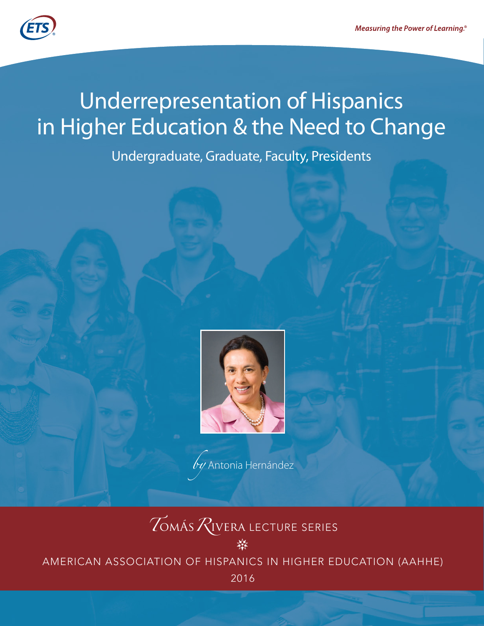

# **Underrepresentation of Hispanics** in Higher Education & the Need to Change

Undergraduate, Graduate, Faculty, Presidents



 $\overline{b}$ y Antonia Hernández

# **ZOMÁS ZIVERA LECTURE SERIES**

AMERICAN ASSOCIATION OF HISPANICS IN HIGHER EDUCATION (AAHHE)

2016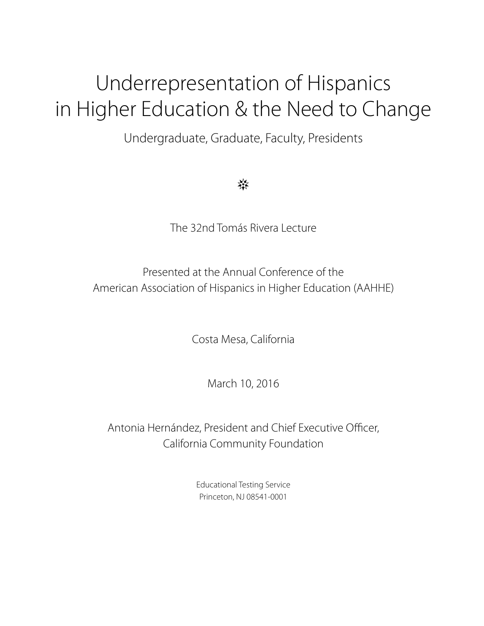# Underrepresentation of Hispanics in Higher Education & the Need to Change

Undergraduate, Graduate, Faculty, Presidents

≹≮

The 32nd Tomás Rivera Lecture

Presented at the Annual Conference of the American Association of Hispanics in Higher Education (AAHHE)

Costa Mesa, California

March 10, 2016

Antonia Hernández, President and Chief Executive Officer, California Community Foundation

> Educational Testing Service Princeton, NJ 08541-0001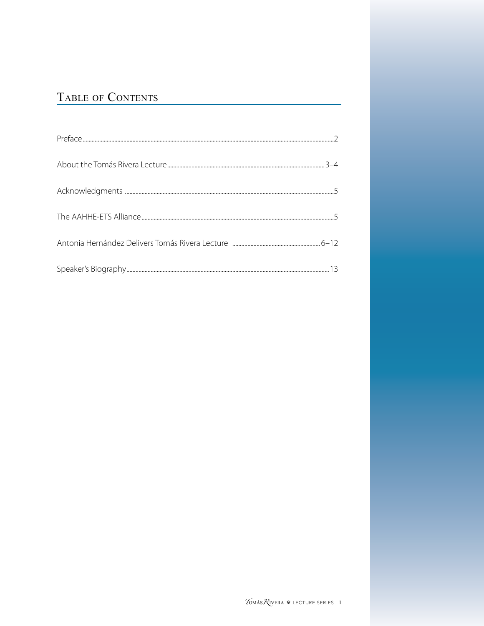# TABLE OF CONTENTS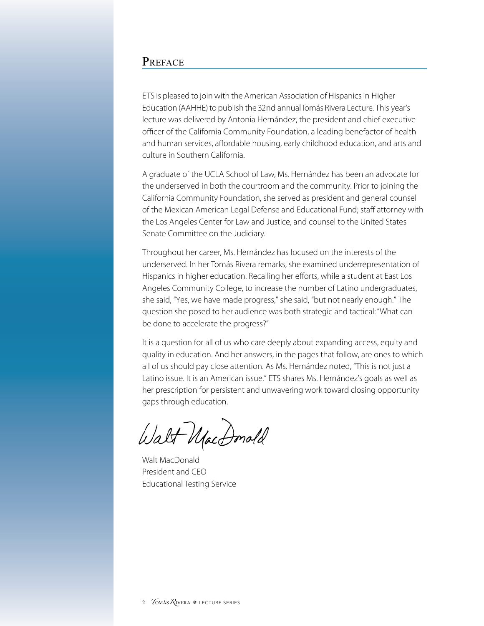#### <span id="page-5-0"></span>PREFACE

ETS is pleased to join with the American Association of Hispanics in Higher Education (AAHHE) to publish the 32nd annual Tomás Rivera Lecture. This year's lecture was delivered by Antonia Hernández, the president and chief executive officer of the California Community Foundation, a leading benefactor of health and human services, affordable housing, early childhood education, and arts and culture in Southern California.

A graduate of the UCLA School of Law, Ms. Hernández has been an advocate for the underserved in both the courtroom and the community. Prior to joining the California Community Foundation, she served as president and general counsel of the Mexican American Legal Defense and Educational Fund; staff attorney with the Los Angeles Center for Law and Justice; and counsel to the United States Senate Committee on the Judiciary.

Throughout her career, Ms. Hernández has focused on the interests of the underserved. In her Tomás Rivera remarks, she examined underrepresentation of Hispanics in higher education. Recalling her efforts, while a student at East Los Angeles Community College, to increase the number of Latino undergraduates, she said, "Yes, we have made progress," she said, "but not nearly enough." The question she posed to her audience was both strategic and tactical: "What can be done to accelerate the progress?"

It is a question for all of us who care deeply about expanding access, equity and quality in education. And her answers, in the pages that follow, are ones to which all of us should pay close attention. As Ms. Hernández noted, "This is not just a Latino issue. It is an American issue." ETS shares Ms. Hernández's goals as well as her prescription for persistent and unwavering work toward closing opportunity gaps through education.

Walt MacDonold

Walt MacDonald President and CEO Educational Testing Service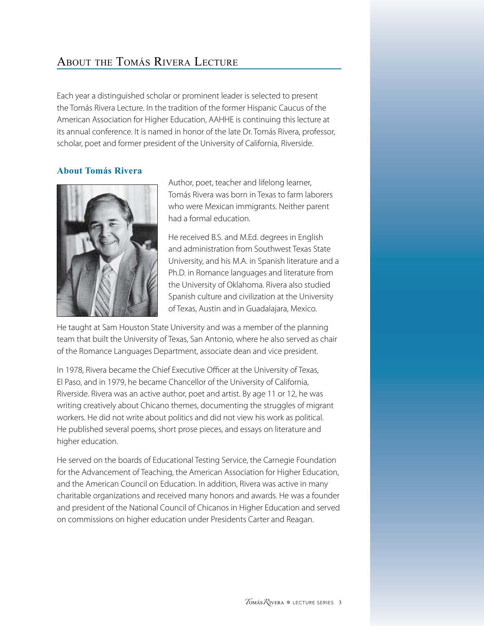# <span id="page-6-0"></span>About the Tomás Rivera Lecture

Each year a distinguished scholar or prominent leader is selected to present the Tomás Rivera Lecture. In the tradition of the former Hispanic Caucus of the American Association for Higher Education, AAHHE is continuing this lecture at its annual conference. It is named in honor of the late Dr. Tomás Rivera, professor, scholar, poet and former president of the University of California, Riverside.

#### **About Tomás Rivera**



Author, poet, teacher and lifelong learner, Tomás Rivera was born in Texas to farm laborers who were Mexican immigrants. Neither parent had a formal education.

He received B.S. and M.Ed. degrees in English and administration from Southwest Texas State University, and his M.A. in Spanish literature and a Ph.D. in Romance languages and literature from the University of Oklahoma. Rivera also studied Spanish culture and civilization at the University of Texas, Austin and in Guadalajara, Mexico.

He taught at Sam Houston State University and was a member of the planning team that built the University of Texas, San Antonio, where he also served as chair of the Romance Languages Department, associate dean and vice president.

In 1978, Rivera became the Chief Executive Officer at the University of Texas, El Paso, and in 1979, he became Chancellor of the University of California, Riverside. Rivera was an active author, poet and artist. By age 11 or 12, he was writing creatively about Chicano themes, documenting the struggles of migrant workers. He did not write about politics and did not view his work as political. He published several poems, short prose pieces, and essays on literature and higher education.

He served on the boards of Educational Testing Service, the Carnegie Foundation for the Advancement of Teaching, the American Association for Higher Education, and the American Council on Education. In addition, Rivera was active in many charitable organizations and received many honors and awards. He was a founder and president of the National Council of Chicanos in Higher Education and served on commissions on higher education under Presidents Carter and Reagan.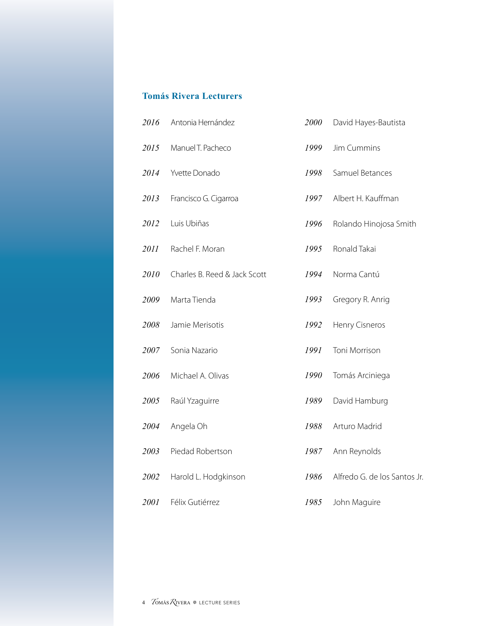#### **Tomás Rivera Lecturers**

| 2016 | Antonia Hernández            | 2000 | David Hayes-Bautista         |
|------|------------------------------|------|------------------------------|
| 2015 | Manuel T. Pacheco            | 1999 | Jim Cummins                  |
| 2014 | Yvette Donado                | 1998 | Samuel Betances              |
| 2013 | Francisco G. Cigarroa        | 1997 | Albert H. Kauffman           |
| 2012 | Luis Ubiñas                  | 1996 | Rolando Hinojosa Smith       |
| 2011 | Rachel F. Moran              | 1995 | Ronald Takai                 |
| 2010 | Charles B. Reed & Jack Scott | 1994 | Norma Cantú                  |
| 2009 | Marta Tienda                 | 1993 | Gregory R. Anrig             |
| 2008 | Jamie Merisotis              | 1992 | Henry Cisneros               |
| 2007 | Sonia Nazario                | 1991 | Toni Morrison                |
| 2006 | Michael A. Olivas            | 1990 | Tomás Arciniega              |
| 2005 | Raúl Yzaguirre               | 1989 | David Hamburg                |
| 2004 | Angela Oh                    | 1988 | Arturo Madrid                |
| 2003 | Piedad Robertson             | 1987 | Ann Reynolds                 |
| 2002 | Harold L. Hodgkinson         | 1986 | Alfredo G. de los Santos Jr. |
| 2001 | Félix Gutiérrez              | 1985 | John Maguire                 |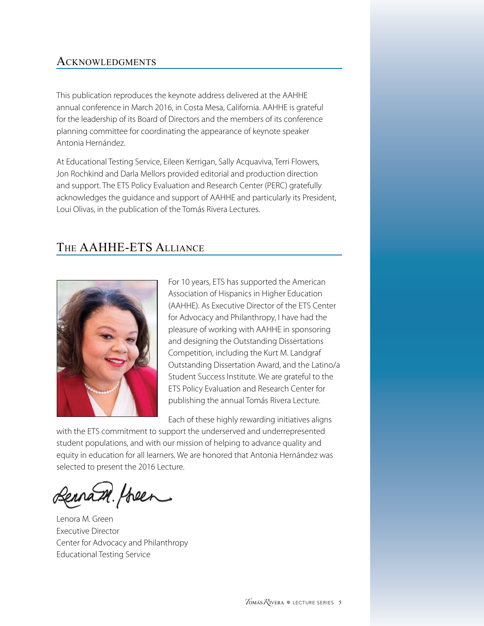#### <span id="page-8-0"></span>**ACKNOWLEDGMENTS**

This publication reproduces the keynote address delivered at the AAHHE annual conference in March 2016, in Costa Mesa, California. AAHHE is grateful for the leadership of its Board of Directors and the members of its conference planning committee for coordinating the appearance of keynote speaker Antonia Hernández.

At Educational Testing Service, Eileen Kerrigan, Sally Acquaviva, Terri Flowers, Jon Rochkind and Darla Mellors provided editorial and production direction and support. The ETS Policy Evaluation and Research Center (PERC) gratefully acknowledges the guidance and support of AAHHE and particularly its President, Loui Olivas, in the publication of the Tomás Rivera Lectures.

## The AAHHE-ETS Alliance



For 10 years, ETS has supported the American Association of Hispanics in Higher Education (AAHHE). As Executive Director of the ETS Center for Advocacy and Philanthropy, I have had the pleasure of working with AAHHE in sponsoring and designing the Outstanding Dissertations Competition, including the Kurt M. Landgraf Outstanding Dissertation Award, and the Latino/a Student Success Institute. We are grateful to the ETS Policy Evaluation and Research Center for publishing the annual Tomás Rivera Lecture.

Each of these highly rewarding initiatives aligns

with the ETS commitment to support the underserved and underrepresented student populations, and with our mission of helping to advance quality and equity in education for all learners. We are honored that Antonia Hernández was selected to present the 2016 Lecture.

ennam. Hoeen

Lenora M. Green Executive Director Center for Advocacy and Philanthropy Educational Testing Service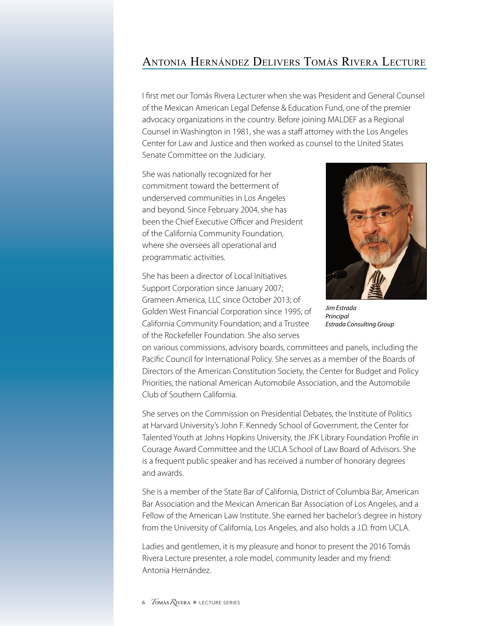### <span id="page-9-0"></span>Antonia Hernández Delivers Tomás Rivera Lecture

I first met our Tomás Rivera Lecturer when she was President and General Counsel of the Mexican American Legal Defense & Education Fund, one of the premier advocacy organizations in the country. Before joining MALDEF as a Regional Counsel in Washington in 1981, she was a staff attorney with the Los Angeles Center for Law and Justice and then worked as counsel to the United States Senate Committee on the Judiciary.

She was nationally recognized for her commitment toward the betterment of underserved communities in Los Angeles and beyond. Since February 2004, she has been the Chief Executive Officer and President of the California Community Foundation, where she oversees all operational and programmatic activities.

She has been a director of Local Initiatives Support Corporation since January 2007; Grameen America, LLC since October 2013; of Golden West Financial Corporation since 1995; of California Community Foundation; and a Trustee of the Rockefeller Foundation. She also serves



*Jim Estrada Principal Estrada Consulting Group*

on various commissions, advisory boards, committees and panels, including the Pacific Council for International Policy. She serves as a member of the Boards of Directors of the American Constitution Society, the Center for Budget and Policy Priorities, the national American Automobile Association, and the Automobile Club of Southern California.

She serves on the Commission on Presidential Debates, the Institute of Politics at Harvard University's John F. Kennedy School of Government, the Center for Talented Youth at Johns Hopkins University, the JFK Library Foundation Profile in Courage Award Committee and the UCLA School of Law Board of Advisors. She is a frequent public speaker and has received a number of honorary degrees and awards.

She is a member of the State Bar of California, District of Columbia Bar, American Bar Association and the Mexican American Bar Association of Los Angeles, and a Fellow of the American Law Institute. She earned her bachelor's degree in history from the University of California, Los Angeles, and also holds a J.D. from UCLA.

Ladies and gentlemen, it is my pleasure and honor to present the 2016 Tomás Rivera Lecture presenter, a role model, community leader and my friend: Antonia Hernández.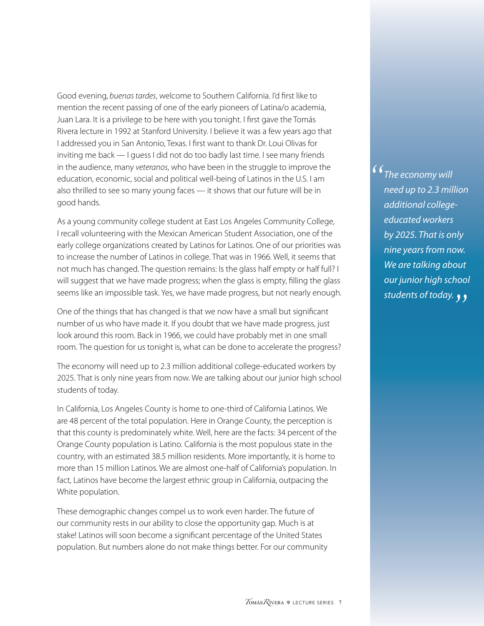Good evening, *buenas tardes*, welcome to Southern California. I'd first like to mention the recent passing of one of the early pioneers of Latina/o academia, Juan Lara. It is a privilege to be here with you tonight. I first gave the Tomás Rivera lecture in 1992 at Stanford University. I believe it was a few years ago that I addressed you in San Antonio, Texas. I first want to thank Dr. Loui Olivas for inviting me back — I guess I did not do too badly last time. I see many friends in the audience, many *veteranos*, who have been in the struggle to improve the education, economic, social and political well-being of Latinos in the U.S. I am also thrilled to see so many young faces — it shows that our future will be in good hands.

As a young community college student at East Los Angeles Community College, I recall volunteering with the Mexican American Student Association, one of the early college organizations created by Latinos for Latinos. One of our priorities was to increase the number of Latinos in college. That was in 1966. Well, it seems that not much has changed. The question remains: Is the glass half empty or half full? I will suggest that we have made progress; when the glass is empty, filling the glass seems like an impossible task. Yes, we have made progress, but not nearly enough.

One of the things that has changed is that we now have a small but significant number of us who have made it. If you doubt that we have made progress, just look around this room. Back in 1966, we could have probably met in one small room. The question for us tonight is, what can be done to accelerate the progress?

The economy will need up to 2.3 million additional college-educated workers by 2025. That is only nine years from now. We are talking about our junior high school students of today.

In California, Los Angeles County is home to one-third of California Latinos. We are 48 percent of the total population. Here in Orange County, the perception is that this county is predominately white. Well, here are the facts: 34 percent of the Orange County population is Latino. California is the most populous state in the country, with an estimated 38.5 million residents. More importantly, it is home to more than 15 million Latinos. We are almost one-half of California's population. In fact, Latinos have become the largest ethnic group in California, outpacing the White population.

These demographic changes compel us to work even harder. The future of our community rests in our ability to close the opportunity gap. Much is at stake! Latinos will soon become a significant percentage of the United States population. But numbers alone do not make things better. For our community <sup>1</sup> The economy will<br>need up to 2.3 mil *need up to 2.3 million additional collegeeducated workers by 2025. That is only nine years from now. We are talking about our junior high school students of today. "*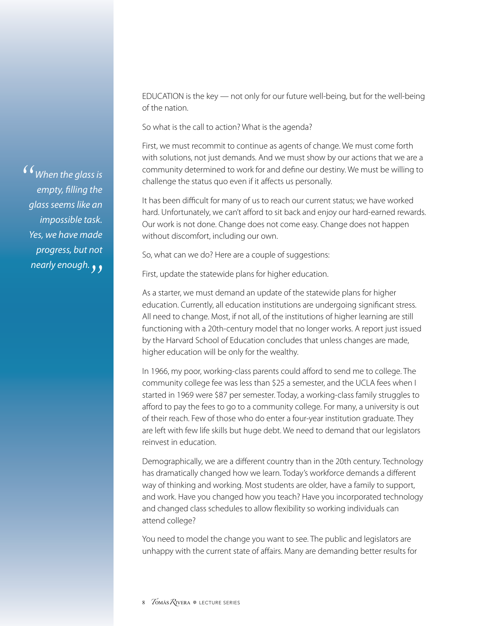EDUCATION is the key — not only for our future well-being, but for the well-being of the nation.

So what is the call to action? What is the agenda?

First, we must recommit to continue as agents of change. We must come forth with solutions, not just demands. And we must show by our actions that we are a community determined to work for and define our destiny. We must be willing to challenge the status quo even if it affects us personally.

It has been difficult for many of us to reach our current status; we have worked hard. Unfortunately, we can't afford to sit back and enjoy our hard-earned rewards. Our work is not done. Change does not come easy. Change does not happen without discomfort, including our own.

So, what can we do? Here are a couple of suggestions:

First, update the statewide plans for higher education.

As a starter, we must demand an update of the statewide plans for higher education. Currently, all education institutions are undergoing significant stress. All need to change. Most, if not all, of the institutions of higher learning are still functioning with a 20th-century model that no longer works. A report just issued by the Harvard School of Education concludes that unless changes are made, higher education will be only for the wealthy.

In 1966, my poor, working-class parents could afford to send me to college. The community college fee was less than \$25 a semester, and the UCLA fees when I started in 1969 were \$87 per semester. Today, a working-class family struggles to afford to pay the fees to go to a community college. For many, a university is out of their reach. Few of those who do enter a four-year institution graduate. They are left with few life skills but huge debt. We need to demand that our legislators reinvest in education.

Demographically, we are a different country than in the 20th century. Technology has dramatically changed how we learn. Today's workforce demands a different way of thinking and working. Most students are older, have a family to support, and work. Have you changed how you teach? Have you incorporated technology and changed class schedules to allow flexibility so working individuals can attend college?

You need to model the change you want to see. The public and legislators are unhappy with the current state of affairs. Many are demanding better results for

<sup>1</sup> When the glass is<br>empty, filling the *empty, filling the glass seems like an impossible task. Yes, we have made progress, but not nearly enough. "*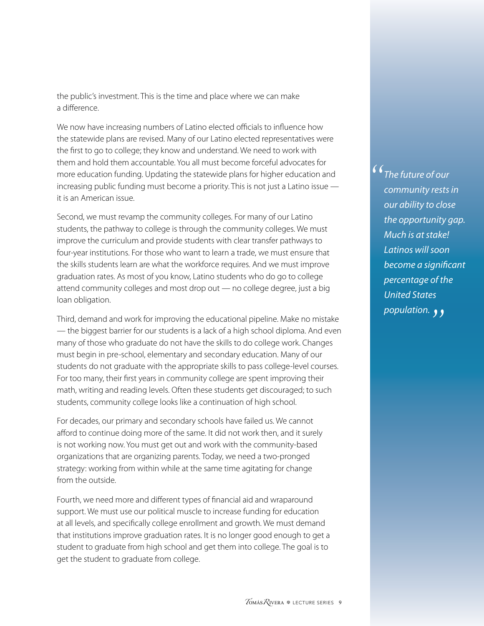the public's investment. This is the time and place where we can make a difference.

We now have increasing numbers of Latino elected officials to influence how the statewide plans are revised. Many of our Latino elected representatives were the first to go to college; they know and understand. We need to work with them and hold them accountable. You all must become forceful advocates for more education funding. Updating the statewide plans for higher education and increasing public funding must become a priority. This is not just a Latino issue it is an American issue.

Second, we must revamp the community colleges. For many of our Latino students, the pathway to college is through the community colleges. We must improve the curriculum and provide students with clear transfer pathways to four-year institutions. For those who want to learn a trade, we must ensure that the skills students learn are what the workforce requires. And we must improve graduation rates. As most of you know, Latino students who do go to college attend community colleges and most drop out — no college degree, just a big loan obligation.

Third, demand and work for improving the educational pipeline. Make no mistake — the biggest barrier for our students is a lack of a high school diploma. And even many of those who graduate do not have the skills to do college work. Changes must begin in pre-school, elementary and secondary education. Many of our students do not graduate with the appropriate skills to pass college-level courses. For too many, their first years in community college are spent improving their math, writing and reading levels. Often these students get discouraged; to such students, community college looks like a continuation of high school.

For decades, our primary and secondary schools have failed us. We cannot afford to continue doing more of the same. It did not work then, and it surely is not working now. You must get out and work with the community-based organizations that are organizing parents. Today, we need a two-pronged strategy: working from within while at the same time agitating for change from the outside.

Fourth, we need more and different types of financial aid and wraparound support. We must use our political muscle to increase funding for education at all levels, and specifically college enrollment and growth. We must demand that institutions improve graduation rates. It is no longer good enough to get a student to graduate from high school and get them into college. The goal is to get the student to graduate from college.

<sup>1</sup> The future of our<br> *community rests community rests in our ability to close the opportunity gap. Much is at stake! Latinos will soon become a significant percentage of the United States population.*  $\rightarrow$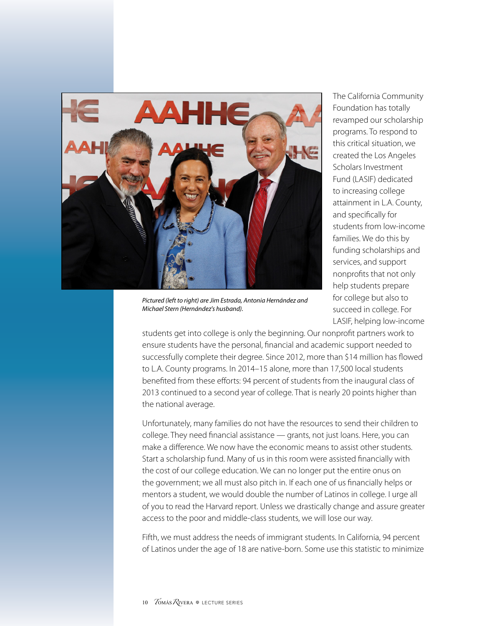

*Pictured (left to right) are Jim Estrada, Antonia Hernández and Michael Stern (Hernández's husband).*

The California Community Foundation has totally revamped our scholarship programs. To respond to this critical situation, we created the Los Angeles Scholars Investment Fund (LASIF) dedicated to increasing college attainment in L.A. County, and specifically for students from low-income families. We do this by funding scholarships and services, and support nonprofits that not only help students prepare for college but also to succeed in college. For LASIF, helping low-income

students get into college is only the beginning. Our nonprofit partners work to ensure students have the personal, financial and academic support needed to successfully complete their degree. Since 2012, more than \$14 million has flowed to L.A. County programs. In 2014–15 alone, more than 17,500 local students benefited from these efforts: 94 percent of students from the inaugural class of 2013 continued to a second year of college. That is nearly 20 points higher than the national average.

Unfortunately, many families do not have the resources to send their children to college. They need financial assistance — grants, not just loans. Here, you can make a difference. We now have the economic means to assist other students. Start a scholarship fund. Many of us in this room were assisted financially with the cost of our college education. We can no longer put the entire onus on the government; we all must also pitch in. If each one of us financially helps or mentors a student, we would double the number of Latinos in college. I urge all of you to read the Harvard report. Unless we drastically change and assure greater access to the poor and middle-class students, we will lose our way.

Fifth, we must address the needs of immigrant students. In California, 94 percent of Latinos under the age of 18 are native-born. Some use this statistic to minimize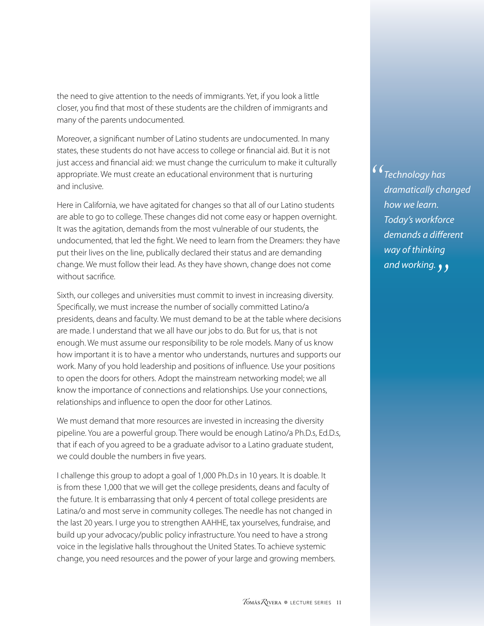the need to give attention to the needs of immigrants. Yet, if you look a little closer, you find that most of these students are the children of immigrants and many of the parents undocumented.

Moreover, a significant number of Latino students are undocumented. In many states, these students do not have access to college or financial aid. But it is not just access and financial aid: we must change the curriculum to make it culturally appropriate. We must create an educational environment that is nurturing and inclusive.

Here in California, we have agitated for changes so that all of our Latino students are able to go to college. These changes did not come easy or happen overnight. It was the agitation, demands from the most vulnerable of our students, the undocumented, that led the fight. We need to learn from the Dreamers: they have put their lives on the line, publically declared their status and are demanding change. We must follow their lead. As they have shown, change does not come without sacrifice.

Sixth, our colleges and universities must commit to invest in increasing diversity. Specifically, we must increase the number of socially committed Latino/a presidents, deans and faculty. We must demand to be at the table where decisions are made. I understand that we all have our jobs to do. But for us, that is not enough. We must assume our responsibility to be role models. Many of us know how important it is to have a mentor who understands, nurtures and supports our work. Many of you hold leadership and positions of influence. Use your positions to open the doors for others. Adopt the mainstream networking model; we all know the importance of connections and relationships. Use your connections, relationships and influence to open the door for other Latinos.

We must demand that more resources are invested in increasing the diversity pipeline. You are a powerful group. There would be enough Latino/a Ph.D.s, Ed.D.s, that if each of you agreed to be a graduate advisor to a Latino graduate student, we could double the numbers in five years.

I challenge this group to adopt a goal of 1,000 Ph.D.s in 10 years. It is doable. It is from these 1,000 that we will get the college presidents, deans and faculty of the future. It is embarrassing that only 4 percent of total college presidents are Latina/o and most serve in community colleges. The needle has not changed in the last 20 years. I urge you to strengthen AAHHE, tax yourselves, fundraise, and build up your advocacy/public policy infrastructure. You need to have a strong voice in the legislative halls throughout the United States. To achieve systemic change, you need resources and the power of your large and growing members. <sup>1</sup> Technology has<br>dramatically cho *dramatically changed how we learn. Today's workforce demands a different way of thinking and working."*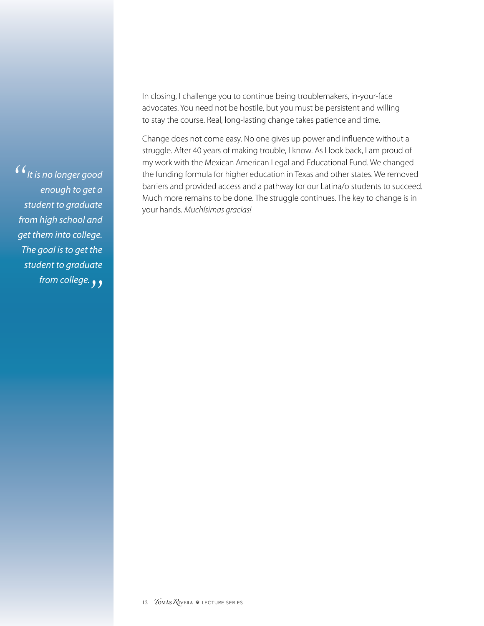In closing, I challenge you to continue being troublemakers, in-your-face advocates. You need not be hostile, but you must be persistent and willing to stay the course. Real, long-lasting change takes patience and time.

Change does not come easy. No one gives up power and influence without a struggle. After 40 years of making trouble, I know. As I look back, I am proud of my work with the Mexican American Legal and Educational Fund. We changed the funding formula for higher education in Texas and other states. We removed barriers and provided access and a pathway for our Latina/o students to succeed. Much more remains to be done. The struggle continues. The key to change is in your hands. *Muchísimas gracias!* 

*It is no longer good " enough to get a student to graduate from high school and get them into college. The goal is to get the student to graduate from college. "*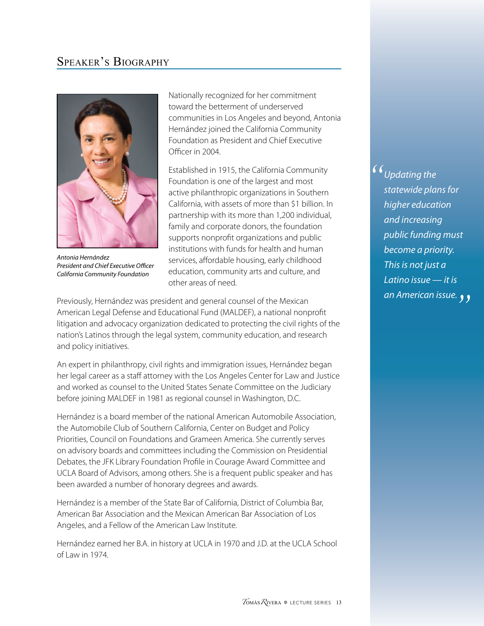### <span id="page-16-0"></span>Speaker's Biography



*Antonia Hernández President and Chief Executive Officer California Community Foundation*

Nationally recognized for her commitment toward the betterment of underserved communities in Los Angeles and beyond, Antonia Hernández joined the California Community Foundation as President and Chief Executive Officer in 2004.

Established in 1915, the California Community Foundation is one of the largest and most active philanthropic organizations in Southern California, with assets of more than \$1 billion. In partnership with its more than 1,200 individual, family and corporate donors, the foundation supports nonprofit organizations and public institutions with funds for health and human services, affordable housing, early childhood education, community arts and culture, and other areas of need.

Previously, Hernández was president and general counsel of the Mexican American Legal Defense and Educational Fund (MALDEF), a national nonprofit litigation and advocacy organization dedicated to protecting the civil rights of the nation's Latinos through the legal system, community education, and research and policy initiatives.

An expert in philanthropy, civil rights and immigration issues, Hernández began her legal career as a staff attorney with the Los Angeles Center for Law and Justice and worked as counsel to the United States Senate Committee on the Judiciary before joining MALDEF in 1981 as regional counsel in Washington, D.C.

Hernández is a board member of the national American Automobile Association, the Automobile Club of Southern California, Center on Budget and Policy Priorities, Council on Foundations and Grameen America. She currently serves on advisory boards and committees including the Commission on Presidential Debates, the JFK Library Foundation Profile in Courage Award Committee and UCLA Board of Advisors, among others. She is a frequent public speaker and has been awarded a number of honorary degrees and awards.

Hernández is a member of the State Bar of California, District of Columbia Bar, American Bar Association and the Mexican American Bar Association of Los Angeles, and a Fellow of the American Law Institute.

Hernández earned her B.A. in history at UCLA in 1970 and J.D. at the UCLA School of Law in 1974.

<sup>1</sup> Updating the *statewide planer statewide plans for higher education and increasing public funding must become a priority. This is not just a Latino issue — it is an American issue."*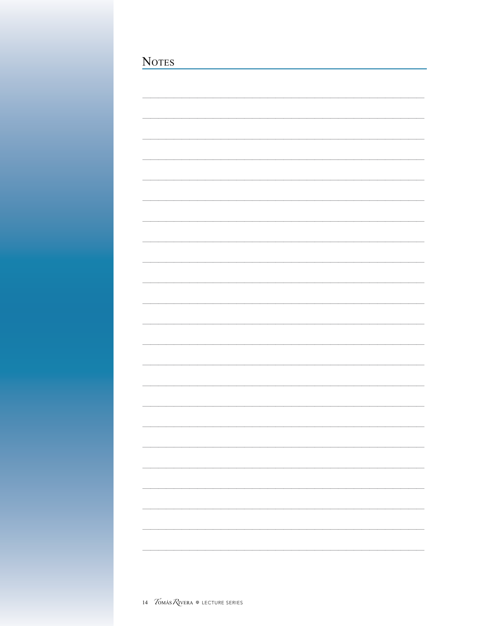| <b>NOTES</b> |  |  |  |
|--------------|--|--|--|
|              |  |  |  |
|              |  |  |  |
|              |  |  |  |
|              |  |  |  |
|              |  |  |  |
|              |  |  |  |
|              |  |  |  |
|              |  |  |  |
|              |  |  |  |
|              |  |  |  |
|              |  |  |  |
|              |  |  |  |
|              |  |  |  |
|              |  |  |  |
|              |  |  |  |
|              |  |  |  |
|              |  |  |  |
|              |  |  |  |
|              |  |  |  |
|              |  |  |  |
|              |  |  |  |
|              |  |  |  |
|              |  |  |  |
|              |  |  |  |
|              |  |  |  |
|              |  |  |  |
|              |  |  |  |
|              |  |  |  |
|              |  |  |  |
|              |  |  |  |
|              |  |  |  |
|              |  |  |  |
|              |  |  |  |
|              |  |  |  |